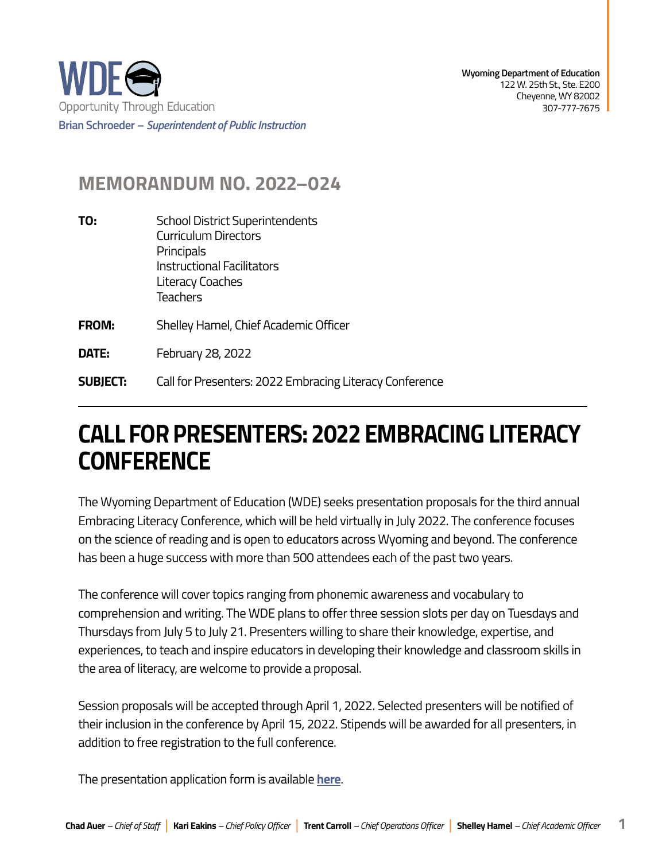

## **MEMORANDUM NO. 2022–024**

- **TO:** School District Superintendents Curriculum Directors **Principals** Instructional Facilitators Literacy Coaches Teachers **FROM:** Shelley Hamel, Chief Academic Officer **DATE:** February 28, 2022
- **SUBJECT:** Call for Presenters: 2022 Embracing Literacy Conference

## **CALL FOR PRESENTERS: 2022 EMBRACING LITERACY CONFERENCE**

The Wyoming Department of Education (WDE) seeks presentation proposals for the third annual Embracing Literacy Conference, which will be held virtually in July 2022. The conference focuses on the science of reading and is open to educators across Wyoming and beyond. The conference has been a huge success with more than 500 attendees each of the past two years.

The conference will cover topics ranging from phonemic awareness and vocabulary to comprehension and writing. The WDE plans to offer three session slots per day on Tuesdays and Thursdays from July 5 to July 21. Presenters willing to share their knowledge, expertise, and experiences, to teach and inspire educators in developing their knowledge and classroom skills in the area of literacy, are welcome to provide a proposal.

 addition to free registration to the full conference. Session proposals will be accepted through April 1, 2022. Selected presenters will be notified of their inclusion in the conference by April 15, 2022. Stipends will be awarded for all presenters, in

The presentation application form is available **[here](https://docs.google.com/forms/d/e/1FAIpQLScMFU8uYny0xsUjftwLyIKxvheQ80yy8PyhsrRxlJ_WIsa1gg/viewform?usp=sf_link)**.